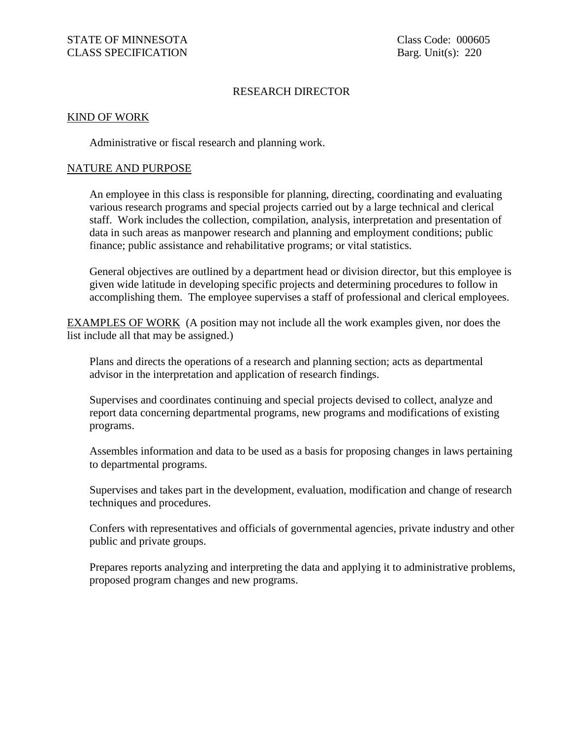# RESEARCH DIRECTOR

### KIND OF WORK

Administrative or fiscal research and planning work.

### NATURE AND PURPOSE

An employee in this class is responsible for planning, directing, coordinating and evaluating various research programs and special projects carried out by a large technical and clerical staff. Work includes the collection, compilation, analysis, interpretation and presentation of data in such areas as manpower research and planning and employment conditions; public finance; public assistance and rehabilitative programs; or vital statistics.

General objectives are outlined by a department head or division director, but this employee is given wide latitude in developing specific projects and determining procedures to follow in accomplishing them. The employee supervises a staff of professional and clerical employees.

EXAMPLES OF WORK (A position may not include all the work examples given, nor does the list include all that may be assigned.)

Plans and directs the operations of a research and planning section; acts as departmental advisor in the interpretation and application of research findings.

Supervises and coordinates continuing and special projects devised to collect, analyze and report data concerning departmental programs, new programs and modifications of existing programs.

Assembles information and data to be used as a basis for proposing changes in laws pertaining to departmental programs.

Supervises and takes part in the development, evaluation, modification and change of research techniques and procedures.

Confers with representatives and officials of governmental agencies, private industry and other public and private groups.

Prepares reports analyzing and interpreting the data and applying it to administrative problems, proposed program changes and new programs.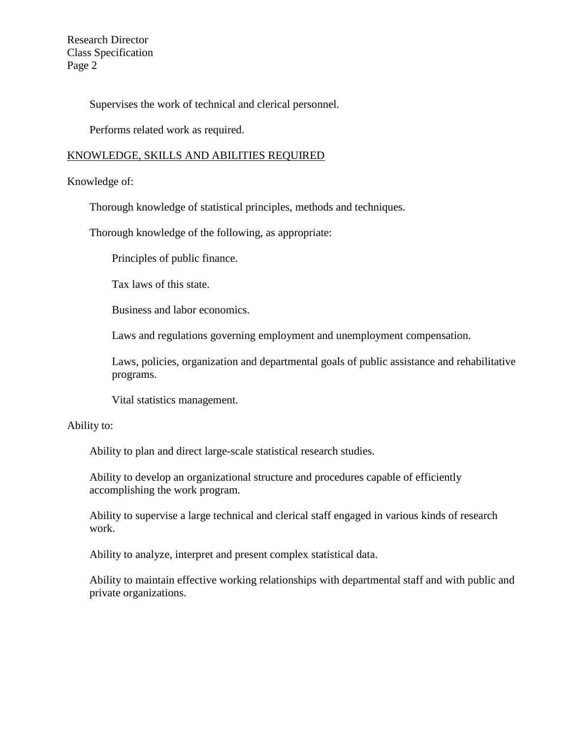Research Director Class Specification Page 2

Supervises the work of technical and clerical personnel.

Performs related work as required.

# KNOWLEDGE, SKILLS AND ABILITIES REQUIRED

# Knowledge of:

Thorough knowledge of statistical principles, methods and techniques.

Thorough knowledge of the following, as appropriate:

Principles of public finance.

Tax laws of this state.

Business and labor economics.

Laws and regulations governing employment and unemployment compensation.

Laws, policies, organization and departmental goals of public assistance and rehabilitative programs.

Vital statistics management.

# Ability to:

Ability to plan and direct large-scale statistical research studies.

Ability to develop an organizational structure and procedures capable of efficiently accomplishing the work program.

Ability to supervise a large technical and clerical staff engaged in various kinds of research work.

Ability to analyze, interpret and present complex statistical data.

Ability to maintain effective working relationships with departmental staff and with public and private organizations.